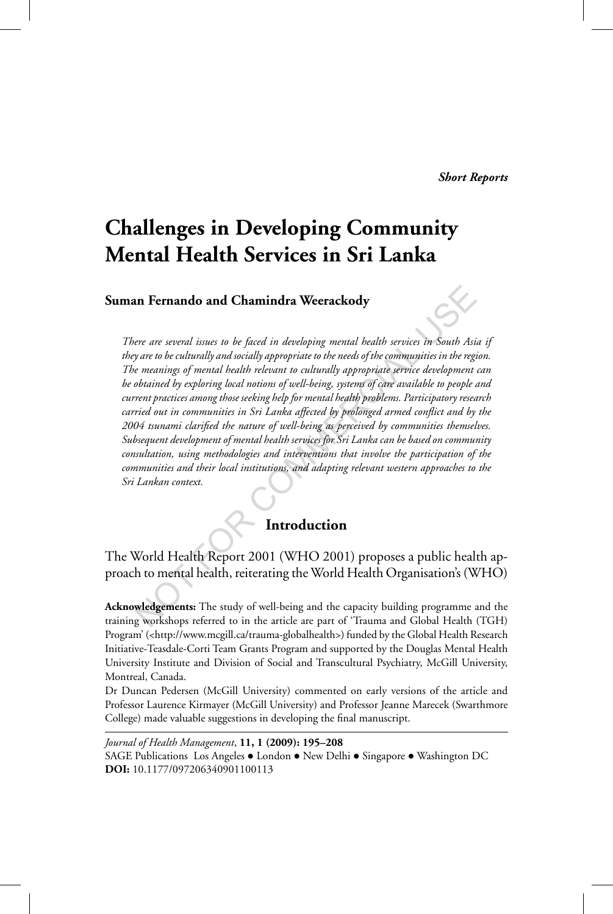*Short Reports*

# **Challenges in Developing Community Mental Health Services in Sri Lanka**

# **Suman Fernando and Chamindra Weerackody**

**In Fernando and Chamindra Weerackody**<br>
For are several issues to be faced in developing mental bealth services in South Asia<br>
yet to be culturally and socially appropriate to the needs of the communities in the region<br>
fo *There are several issues to be faced in developing mental health services in South Asia if they are to be culturally and socially appropriate to the needs of the communities in the region. The meanings of mental health relevant to culturally appropriate service development can be obtained by exploring local notions of well-being, systems of care available to people and current practices among those seeking help for mental health problems. Participatory research*  carried out in communities in Sri Lanka affected by prolonged armed conflict and by the 2004 tsunami clarified the nature of well-being as perceived by communities themselves. *Subsequent development of mental health services for Sri Lanka can be based on community consultation, using methodologies and interventions that involve the participation of the communities and their local institutions, and adapting relevant western approaches to the Sri Lankan context.* 

# **Introduction**

The World Health Report 2001 (WHO 2001) proposes a public health approach to mental health, reiterating the World Health Organisation's (WHO)

**Acknowledgements:** The study of well-being and the capacity building programme and the training workshops referred to in the article are part of 'Trauma and Global Health (TGH) Program' (<http://www.mcgill.ca/trauma-globalhealth>) funded by the Global Health Research Initiative-Teasdale-Corti Team Grants Program and supported by the Douglas Mental Health University Institute and Division of Social and Transcultural Psychiatry, McGill University, Montreal, Canada.

Dr Duncan Pedersen (McGill University) commented on early versions of the article and Professor Laurence Kirmayer (McGill University) and Professor Jeanne Marecek (Swarthmore College) made valuable suggestions in developing the final manuscript.

*Journal of Health Management*, **11, 1 (2009): 195–208** SAGE Publications Los Angeles · London · New Delhi · Singapore · Washington DC **DOI:** 10.1177/097206340901100113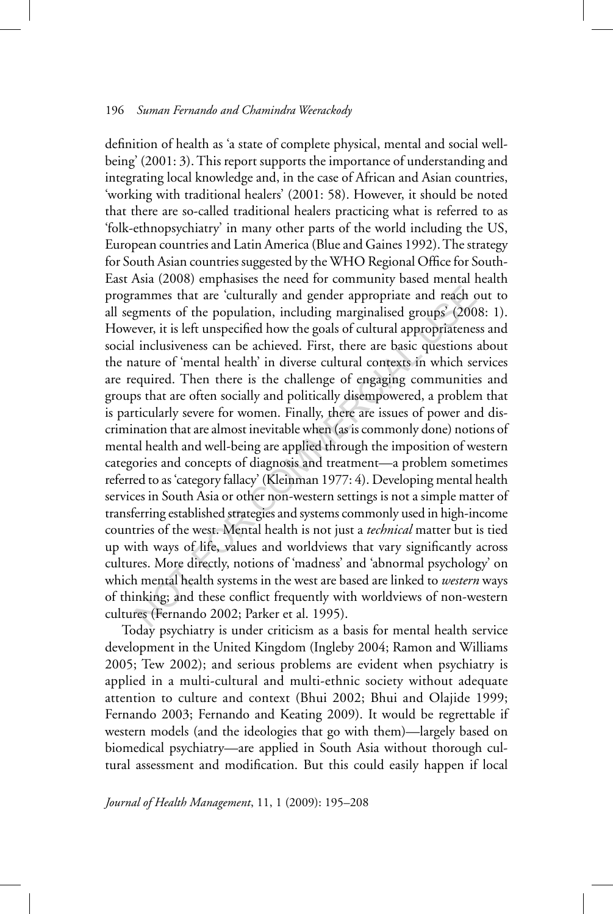ammes that are 'culturally and gender appropriate and reach c<br>gments of the population, including marginalised groups' (200<br>ever, it is left unspecified how the goals of cultural appropriatenes<br>inclusiveness can be achieve definition of health as 'a state of complete physical, mental and social wellbeing' (2001: 3). This report supports the importance of understanding and integrating local knowledge and, in the case of African and Asian countries, 'working with traditional healers' (2001: 58). However, it should be noted that there are so-called traditional healers practicing what is referred to as 'folk-ethnopsychiatry' in many other parts of the world including the US, European countries and Latin America (Blue and Gaines 1992). The strategy for South Asian countries suggested by the WHO Regional Office for South-East Asia (2008) emphasises the need for community based mental health programmes that are 'culturally and gender appropriate and reach out to all segments of the population, including marginalised groups' (2008: 1). However, it is left unspecified how the goals of cultural appropriateness and social inclusiveness can be achieved. First, there are basic questions about the nature of 'mental health' in diverse cultural contexts in which services are required. Then there is the challenge of engaging communities and groups that are often socially and politically disempowered, a problem that is particularly severe for women. Finally, there are issues of power and discrimination that are almost inevitable when (as is commonly done) notions of mental health and well-being are applied through the imposition of western categories and concepts of diagnosis and treatment—a problem sometimes referred to as 'category fallacy' (Kleinman 1977: 4). Developing mental health services in South Asia or other non-western settings is not a simple matter of transferring established strategies and systems commonly used in high-income countries of the west. Mental health is not just a *technical* matter but is tied up with ways of life, values and worldviews that vary significantly across cultures. More directly, notions of 'madness' and 'abnormal psychology' on which mental health systems in the west are based are linked to *western* ways of thinking; and these conflict frequently with worldviews of non-western cultures (Fernando 2002; Parker et al. 1995).

Today psychiatry is under criticism as a basis for mental health service development in the United Kingdom (Ingleby 2004; Ramon and Williams 2005; Tew 2002); and serious problems are evident when psychiatry is applied in a multi-cultural and multi-ethnic society without adequate attention to culture and context (Bhui 2002; Bhui and Olajide 1999; Fernando 2003; Fernando and Keating 2009). It would be regrettable if western models (and the ideologies that go with them)—largely based on biomedical psychiatry—are applied in South Asia without thorough cultural assessment and modification. But this could easily happen if local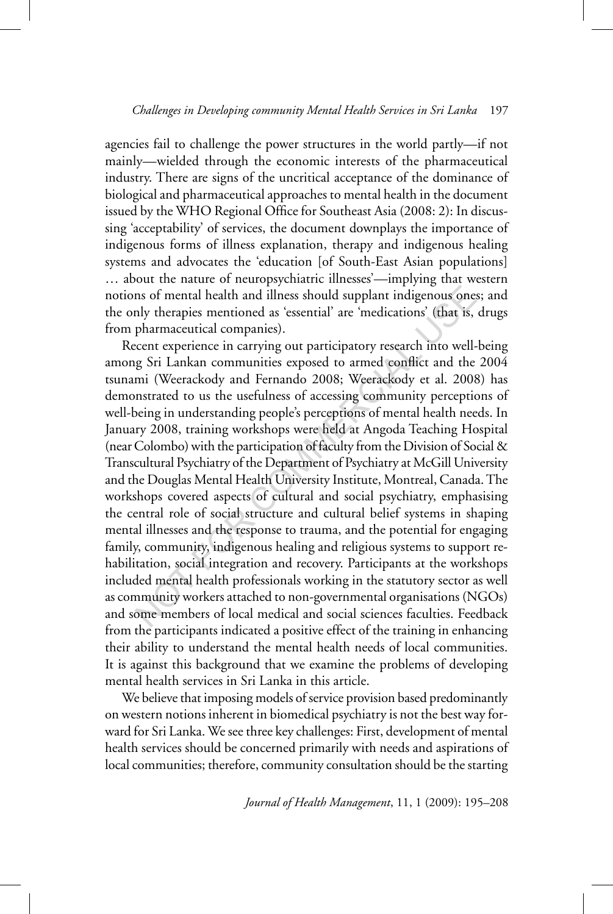agencies fail to challenge the power structures in the world partly—if not mainly—wielded through the economic interests of the pharmaceutical industry. There are signs of the uncritical acceptance of the dominance of biological and pharmaceutical approaches to mental health in the document issued by the WHO Regional Office for Southeast Asia (2008: 2): In discussing 'acceptability' of services, the document downplays the importance of indigenous forms of illness explanation, therapy and indigenous healing systems and advocates the 'education [of South-East Asian populations] … about the nature of neuropsychiatric illnesses'—implying that western notions of mental health and illness should supplant indigenous ones; and the only therapies mentioned as 'essential' are 'medications' (that is, drugs from pharmaceutical companies).

ns of mental health and illness should supplant indigenous ones<br>nly therapies mentioned as 'essential' are 'medications' (that is,<br>pharmaceutical companies).<br>ccent experience in carrying out participatory research into wel Recent experience in carrying out participatory research into well-being among Sri Lankan communities exposed to armed conflict and the 2004 tsunami (Weerackody and Fernando 2008; Weerackody et al. 2008) has demonstrated to us the usefulness of accessing community perceptions of well-being in understanding people's perceptions of mental health needs. In January 2008, training workshops were held at Angoda Teaching Hospital (near Colombo) with the participation of faculty from the Division of Social & Transcultural Psychiatry of the Department of Psychiatry at McGill University and the Douglas Mental Health University Institute, Montreal, Canada. The workshops covered aspects of cultural and social psychiatry, emphasising the central role of social structure and cultural belief systems in shaping mental illnesses and the response to trauma, and the potential for engaging family, community, indigenous healing and religious systems to support rehabilitation, social integration and recovery. Participants at the workshops included mental health professionals working in the statutory sector as well as community workers attached to non-governmental organisations (NGOs) and some members of local medical and social sciences faculties. Feedback from the participants indicated a positive effect of the training in enhancing their ability to understand the mental health needs of local communities. It is against this background that we examine the problems of developing mental health services in Sri Lanka in this article.

We believe that imposing models of service provision based predominantly on western notions inherent in biomedical psychiatry is not the best way forward for Sri Lanka. We see three key challenges: First, development of mental health services should be concerned primarily with needs and aspirations of local communities; therefore, community consultation should be the starting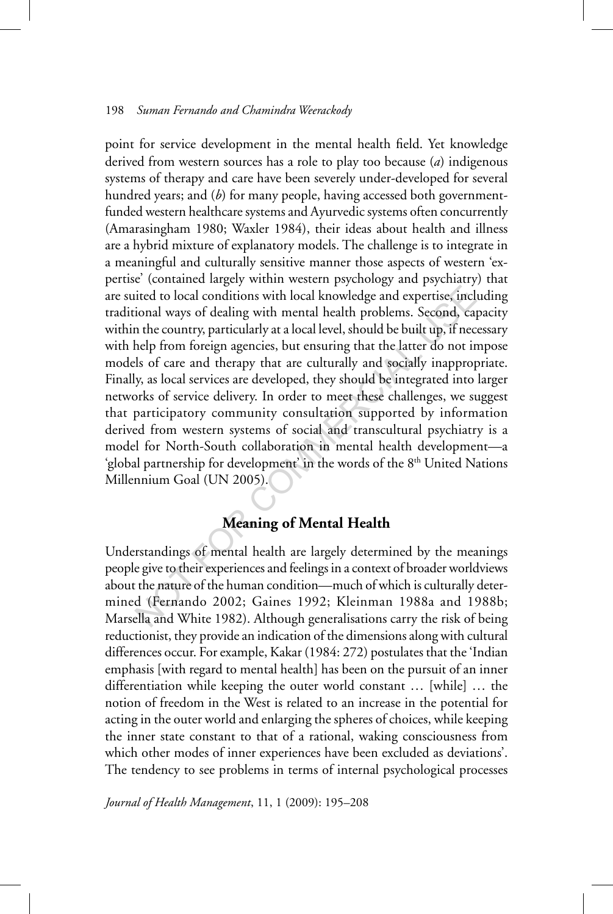ited to local conditions with local knowledge and expertise, inclient<br>ional ways of dealing with mental health problems. Second, can<br>the country, particularly at a local level, should be built up, if nec<br>help from foreign point for service development in the mental health field. Yet knowledge derived from western sources has a role to play too because (*a*) indigenous systems of therapy and care have been severely under-developed for several hundred years; and (*b*) for many people, having accessed both governmentfunded western healthcare systems and Ayurvedic systems often concurrently (Amarasingham 1980; Waxler 1984), their ideas about health and illness are a hybrid mixture of explanatory models. The challenge is to integrate in a meaningful and culturally sensitive manner those aspects of western 'expertise' (contained largely within western psychology and psychiatry) that are suited to local conditions with local knowledge and expertise, including traditional ways of dealing with mental health problems. Second, capacity within the country, particularly at a local level, should be built up, if necessary with help from foreign agencies, but ensuring that the latter do not impose models of care and therapy that are culturally and socially inappropriate. Finally, as local services are developed, they should be integrated into larger networks of service delivery. In order to meet these challenges, we suggest that participatory community consultation supported by information derived from western systems of social and transcultural psychiatry is a model for North-South collaboration in mental health development—a 'global partnership for development' in the words of the  $8<sup>th</sup>$  United Nations Millennium Goal (UN 2005).

## **Meaning of Mental Health**

Understandings of mental health are largely determined by the meanings people give to their experiences and feelings in a context of broader worldviews about the nature of the human condition—much of which is culturally determined (Fernando 2002; Gaines 1992; Kleinman 1988a and 1988b; Marsella and White 1982). Although generalisations carry the risk of being reductionist, they provide an indication of the dimensions along with cultural differences occur. For example, Kakar (1984: 272) postulates that the 'Indian emphasis [with regard to mental health] has been on the pursuit of an inner differentiation while keeping the outer world constant … [while] … the notion of freedom in the West is related to an increase in the potential for acting in the outer world and enlarging the spheres of choices, while keeping the inner state constant to that of a rational, waking consciousness from which other modes of inner experiences have been excluded as deviations'. The tendency to see problems in terms of internal psychological processes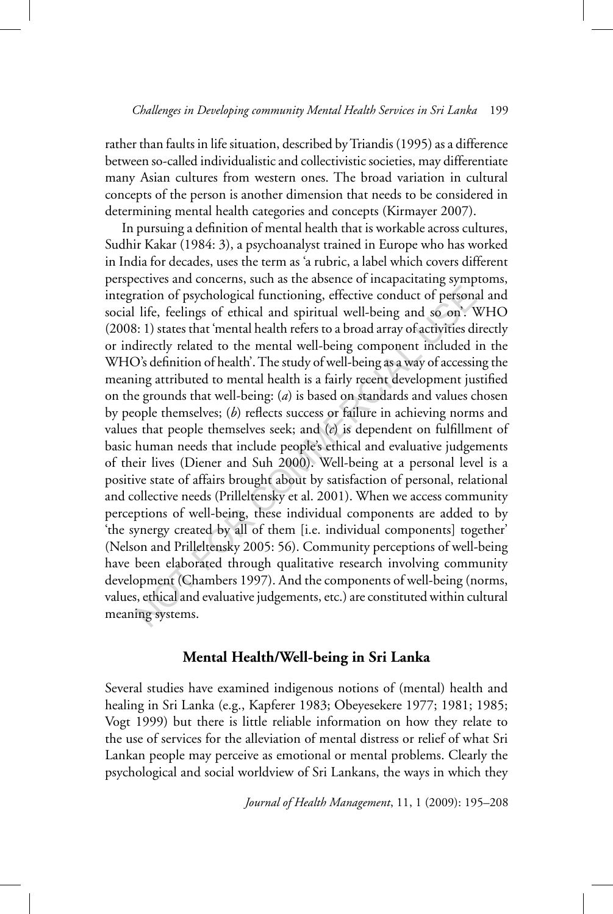rather than faults in life situation, described by Triandis (1995) as a difference between so-called individualistic and collectivistic societies, may differentiate many Asian cultures from western ones. The broad variation in cultural concepts of the person is another dimension that needs to be considered in determining mental health categories and concepts (Kirmayer 2007).

ration of psychological functioning, effective conduct of persona<br>life, feelings of ethical and spiritual well-being and so on'. V<br>
1: 1) states that 'mental health refers to a broad array of activities di<br>
irectly related In pursuing a definition of mental health that is workable across cultures, Sudhir Kakar (1984: 3), a psychoanalyst trained in Europe who has worked in India for decades, uses the term as 'a rubric, a label which covers different perspectives and concerns, such as the absence of incapacitating symptoms, integration of psychological functioning, effective conduct of personal and social life, feelings of ethical and spiritual well-being and so on'. WHO (2008: 1) states that 'mental health refers to a broad array of activities directly or indirectly related to the mental well-being component included in the WHO's definition of health'. The study of well-being as a way of accessing the meaning attributed to mental health is a fairly recent development justified on the grounds that well-being: (*a*) is based on standards and values chosen by people themselves; (b) reflects success or failure in achieving norms and values that people themselves seek; and (*c*) is dependent on fulfillment of basic human needs that include people's ethical and evaluative judgements of their lives (Diener and Suh 2000). Well-being at a personal level is a positive state of affairs brought about by satisfaction of personal, relational and collective needs (Prilleltensky et al. 2001). When we access community perceptions of well-being, these individual components are added to by 'the synergy created by all of them [i.e. individual components] together' (Nelson and Prilleltensky 2005: 56). Community perceptions of well-being have been elaborated through qualitative research involving community development (Chambers 1997). And the components of well-being (norms, values, ethical and evaluative judgements, etc.) are constituted within cultural meaning systems.

#### **Mental Health/Well-being in Sri Lanka**

Several studies have examined indigenous notions of (mental) health and healing in Sri Lanka (e.g., Kapferer 1983; Obeyesekere 1977; 1981; 1985; Vogt 1999) but there is little reliable information on how they relate to the use of services for the alleviation of mental distress or relief of what Sri Lankan people may perceive as emotional or mental problems. Clearly the psychological and social worldview of Sri Lankans, the ways in which they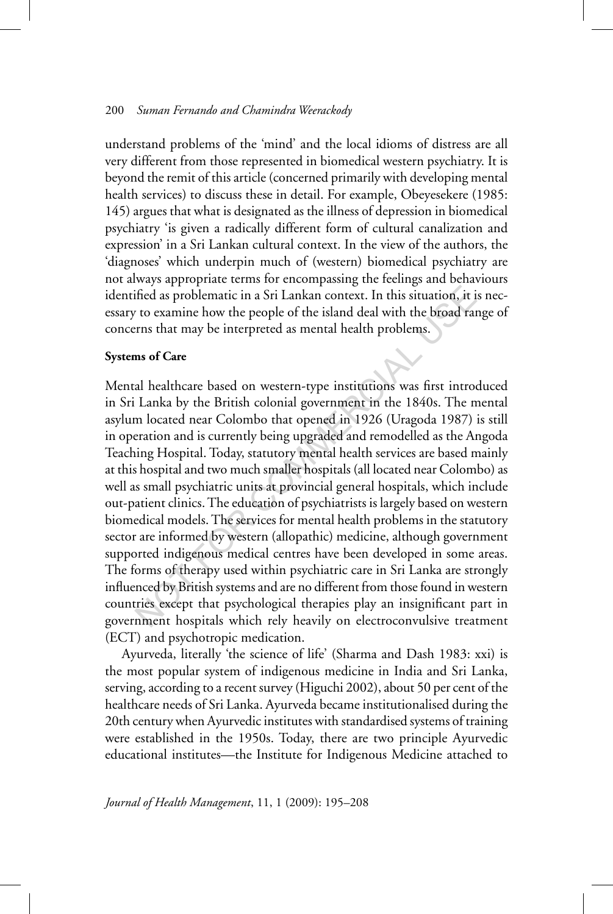understand problems of the 'mind' and the local idioms of distress are all very different from those represented in biomedical western psychiatry. It is beyond the remit of this article (concerned primarily with developing mental health services) to discuss these in detail. For example, Obeyesekere (1985: 145) argues that what is designated as the illness of depression in biomedical psychiatry 'is given a radically different form of cultural canalization and expression' in a Sri Lankan cultural context. In the view of the authors, the 'diagnoses' which underpin much of (western) biomedical psychiatry are not always appropriate terms for encompassing the feelings and behaviours identified as problematic in a Sri Lankan context. In this situation, it is necessary to examine how the people of the island deal with the broad range of concerns that may be interpreted as mental health problems.

### **Systems of Care**

ified as problematic in a Sri Lankan context. In this situation, it it to examine how the people of the island deal with the broad rar<br>rns that may be interpreted as mental health problems.<br>**ns of Care**<br>al healthcare based Mental healthcare based on western-type institutions was first introduced in Sri Lanka by the British colonial government in the 1840s. The mental asylum located near Colombo that opened in 1926 (Uragoda 1987) is still in operation and is currently being upgraded and remodelled as the Angoda Teaching Hospital. Today, statutory mental health services are based mainly at this hospital and two much smaller hospitals (all located near Colombo) as well as small psychiatric units at provincial general hospitals, which include out-patient clinics. The education of psychiatrists is largely based on western biomedical models. The services for mental health problems in the statutory sector are informed by western (allopathic) medicine, although government supported indigenous medical centres have been developed in some areas. The forms of therapy used within psychiatric care in Sri Lanka are strongly influenced by British systems and are no different from those found in western countries except that psychological therapies play an insignificant part in government hospitals which rely heavily on electroconvulsive treatment (ECT) and psychotropic medication.

Ayurveda, literally 'the science of life' (Sharma and Dash 1983: xxi) is the most popular system of indigenous medicine in India and Sri Lanka, serving, according to a recent survey (Higuchi 2002), about 50 per cent of the healthcare needs of Sri Lanka. Ayurveda became institutionalised during the 20th century when Ayurvedic institutes with standardised systems of training were established in the 1950s. Today, there are two principle Ayurvedic educational institutes—the Institute for Indigenous Medicine attached to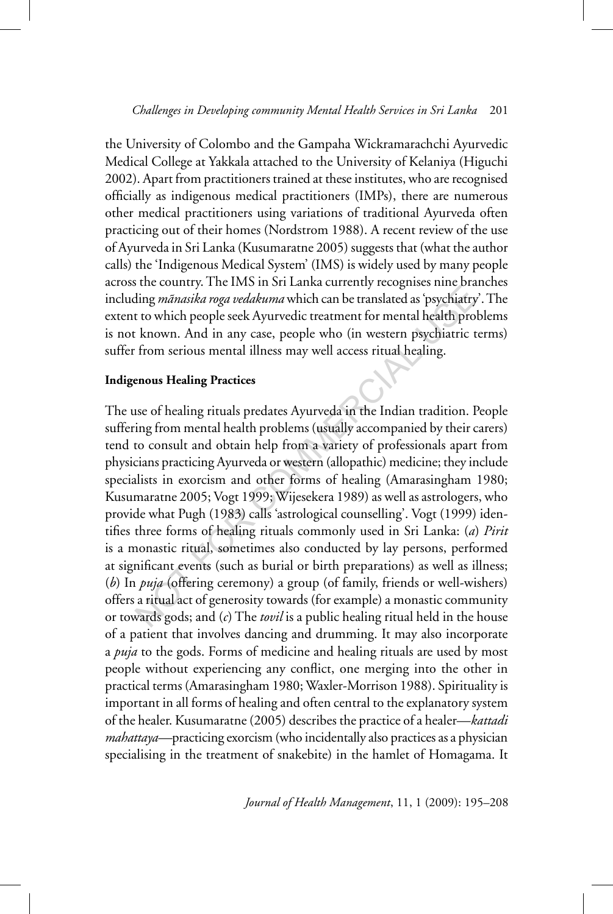the University of Colombo and the Gampaha Wickramarachchi Ayurvedic Medical College at Yakkala attached to the University of Kelaniya (Higuchi 2002). Apart from practitioners trained at these institutes, who are recognised officially as indigenous medical practitioners (IMPs), there are numerous other medical practitioners using variations of traditional Ayurveda often practicing out of their homes (Nordstrom 1988). A recent review of the use of Ayurveda in Sri Lanka (Kusumaratne 2005) suggests that (what the author calls) the 'Indigenous Medical System' (IMS) is widely used by many people across the country. The IMS in Sri Lanka currently recognises nine branches including *mãnasika roga vedakuma* which can be translated as 'psychiatry'. The extent to which people seek Ayurvedic treatment for mental health problems is not known. And in any case, people who (in western psychiatric terms) suffer from serious mental illness may well access ritual healing.

### **Indigenous Healing Practices**

For example and the manife transmission and the set of the same of the diling manasika roga vedakuma which can be translated as 'psychiatry' to to which people seek Ayurvedic treatment for mental health prole known. And i The use of healing rituals predates Ayurveda in the Indian tradition. People suffering from mental health problems (usually accompanied by their carers) tend to consult and obtain help from a variety of professionals apart from physicians practicing Ayurveda or western (allopathic) medicine; they include specialists in exorcism and other forms of healing (Amarasingham 1980; Kusumaratne 2005; Vogt 1999; Wijesekera 1989) as well as astrologers, who provide what Pugh (1983) calls 'astrological counselling'. Vogt (1999) identifies three forms of healing rituals commonly used in Sri Lanka: (*a*) Pirit is a monastic ritual, sometimes also conducted by lay persons, performed at significant events (such as burial or birth preparations) as well as illness; (*b*) In *puja* (offering ceremony) a group (of family, friends or well-wishers) offers a ritual act of generosity towards (for example) a monastic community or towards gods; and (*c*) The *tovil* is a public healing ritual held in the house of a patient that involves dancing and drumming. It may also incorporate a *puja* to the gods. Forms of medicine and healing rituals are used by most people without experiencing any conflict, one merging into the other in practical terms (Amarasingham 1980; Waxler-Morrison 1988). Spirituality is important in all forms of healing and often central to the explanatory system of the healer. Kusumaratne (2005) describes the practice of a healer—*kattadi mahattaya—*practicing exorcism (who incidentally also practices as a physician specialising in the treatment of snakebite) in the hamlet of Homagama. It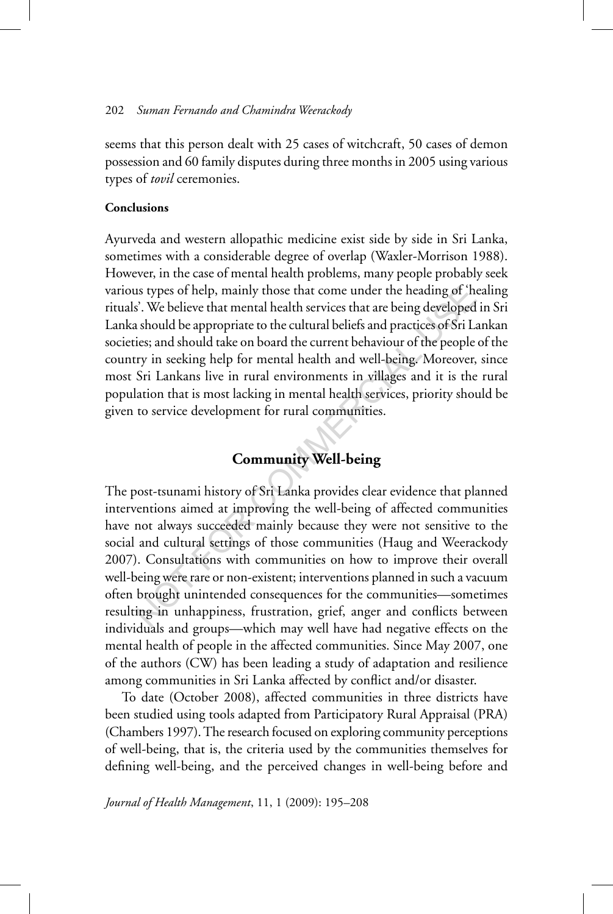seems that this person dealt with 25 cases of witchcraft, 50 cases of demon possession and 60 family disputes during three months in 2005 using various types of *tovil* ceremonies.

### **Conclusions**

Ayurveda and western allopathic medicine exist side by side in Sri Lanka, sometimes with a considerable degree of overlap (Waxler-Morrison 1988). However, in the case of mental health problems, many people probably seek various types of help, mainly those that come under the heading of 'healing rituals'. We believe that mental health services that are being developed in Sri Lanka should be appropriate to the cultural beliefs and practices of Sri Lankan societies; and should take on board the current behaviour of the people of the country in seeking help for mental health and well-being. Moreover, since most Sri Lankans live in rural environments in villages and it is the rural population that is most lacking in mental health services, priority should be given to service development for rural communities.

# **Community Well-being**

Is types of help, mainly those that come under the heading of 'he<br>S'. We believe that mental health services that are being developed<br>a should be appropriate to the cultural beliefs and practices of Sri La<br>ies; and should The post-tsunami history of Sri Lanka provides clear evidence that planned interventions aimed at improving the well-being of affected communities have not always succeeded mainly because they were not sensitive to the social and cultural settings of those communities (Haug and Weerackody 2007). Consultations with communities on how to improve their overall well-being were rare or non-existent; interventions planned in such a vacuum often brought unintended consequences for the communities—sometimes resulting in unhappiness, frustration, grief, anger and conflicts between individuals and groups—which may well have had negative effects on the mental health of people in the affected communities. Since May 2007, one of the authors (CW) has been leading a study of adaptation and resilience among communities in Sri Lanka affected by conflict and/or disaster.

To date (October 2008), affected communities in three districts have been studied using tools adapted from Participatory Rural Appraisal (PRA) (Chambers 1997). The research focused on exploring community perceptions of well-being, that is, the criteria used by the communities themselves for defining well-being, and the perceived changes in well-being before and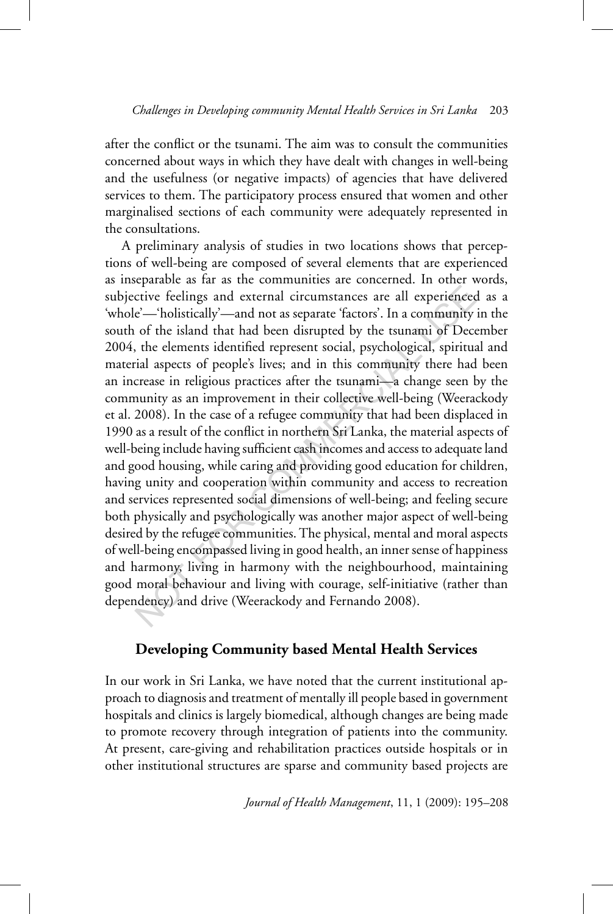after the conflict or the tsunami. The aim was to consult the communities concerned about ways in which they have dealt with changes in well-being and the usefulness (or negative impacts) of agencies that have delivered services to them. The participatory process ensured that women and other marginalised sections of each community were adequately represented in the consultations.

cive feelings and external circumstances are all experiencec<br>e'—'holistically'—and not as separate 'factors'. In a community<br>of the island that had been disrupted by the tsunami of Dece,<br>the elements identified represent s A preliminary analysis of studies in two locations shows that perceptions of well-being are composed of several elements that are experienced as inseparable as far as the communities are concerned. In other words, subjective feelings and external circumstances are all experienced as a 'whole'—'holistically'—and not as separate 'factors'. In a community in the south of the island that had been disrupted by the tsunami of December 2004, the elements identified represent social, psychological, spiritual and material aspects of people's lives; and in this community there had been an increase in religious practices after the tsunami—a change seen by the community as an improvement in their collective well-being (Weerackody et al. 2008). In the case of a refugee community that had been displaced in 1990 as a result of the conflict in northern Sri Lanka, the material aspects of well-being include having sufficient cash incomes and access to adequate land and good housing, while caring and providing good education for children, having unity and cooperation within community and access to recreation and services represented social dimensions of well-being; and feeling secure both physically and psychologically was another major aspect of well-being desired by the refugee communities. The physical, mental and moral aspects of well-being encompassed living in good health, an inner sense of happiness and harmony, living in harmony with the neighbourhood, maintaining good moral behaviour and living with courage, self-initiative (rather than dependency) and drive (Weerackody and Fernando 2008).

## **Developing Community based Mental Health Services**

In our work in Sri Lanka, we have noted that the current institutional approach to diagnosis and treatment of mentally ill people based in government hospitals and clinics is largely biomedical, although changes are being made to promote recovery through integration of patients into the community. At present, care-giving and rehabilitation practices outside hospitals or in other institutional structures are sparse and community based projects are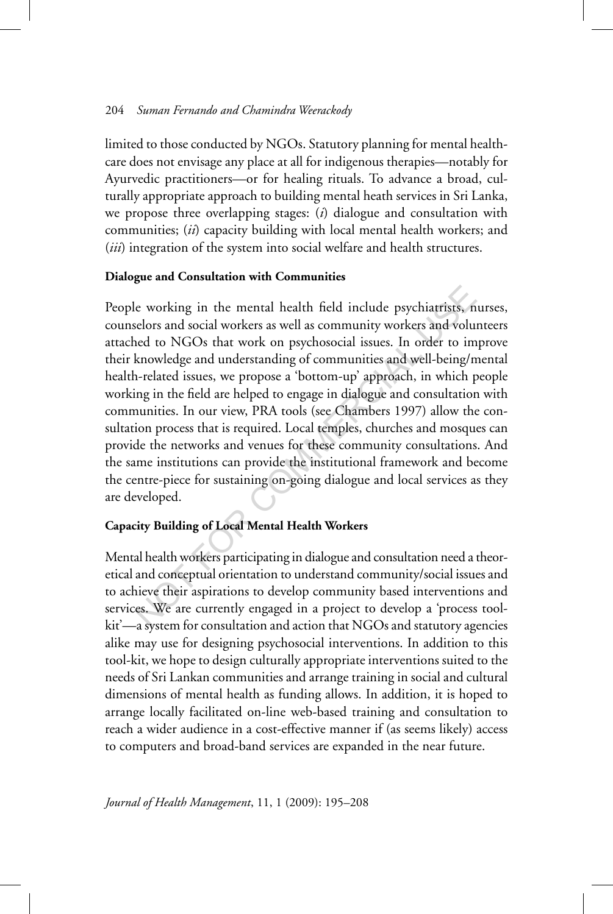limited to those conducted by NGOs. Statutory planning for mental healthcare does not envisage any place at all for indigenous therapies—notably for Ayurvedic practitioners—or for healing rituals. To advance a broad, culturally appropriate approach to building mental heath services in Sri Lanka, we propose three overlapping stages: (*i*) dialogue and consultation with communities; (*ii*) capacity building with local mental health workers; and (*iii*) integration of the system into social welfare and health structures.

### **Dialogue and Consultation with Communities**

e working in the mental health field include psychiatrists, nelors and social workers as well as community workers and voluned to NGOs that work on psychosocial issues. In order to im<br>knowledge and understanding of communi People working in the mental health field include psychiatrists, nurses, counselors and social workers as well as community workers and volunteers attached to NGOs that work on psychosocial issues. In order to improve their knowledge and understanding of communities and well-being/mental health-related issues, we propose a 'bottom-up' approach, in which people working in the field are helped to engage in dialogue and consultation with communities. In our view, PRA tools (see Chambers 1997) allow the consultation process that is required. Local temples, churches and mosques can provide the networks and venues for these community consultations. And the same institutions can provide the institutional framework and become the centre-piece for sustaining on-going dialogue and local services as they are developed.

## **Capacity Building of Local Mental Health Workers**

Mental health workers participating in dialogue and consultation need a theoretical and conceptual orientation to understand community/social issues and to achieve their aspirations to develop community based interventions and services. We are currently engaged in a project to develop a 'process toolkit'—a system for consultation and action that NGOs and statutory agencies alike may use for designing psychosocial interventions. In addition to this tool-kit, we hope to design culturally appropriate interventions suited to the needs of Sri Lankan communities and arrange training in social and cultural dimensions of mental health as funding allows. In addition, it is hoped to arrange locally facilitated on-line web-based training and consultation to reach a wider audience in a cost-effective manner if (as seems likely) access to computers and broad-band services are expanded in the near future.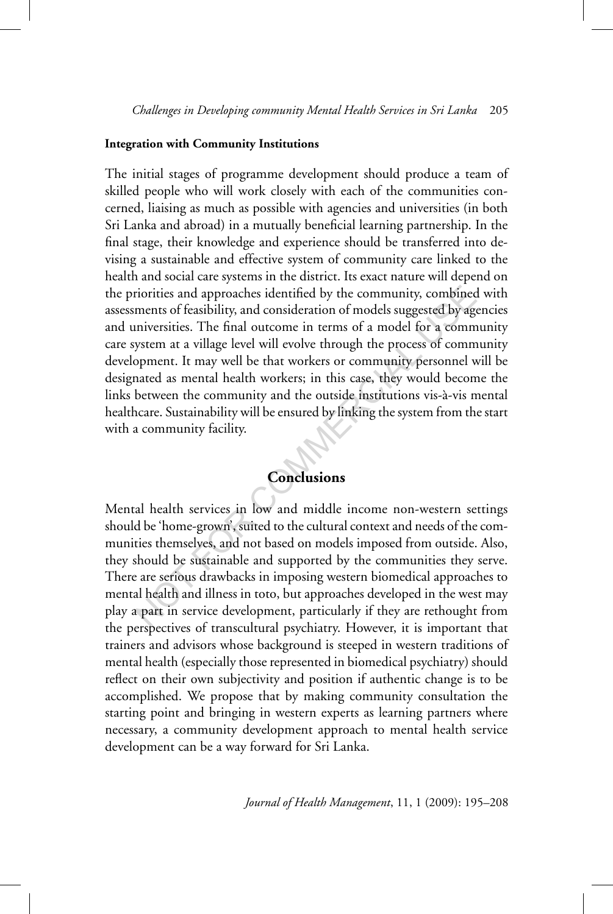#### **Integration with Community Institutions**

riorities and approaches identified by the community, combined<br>ments of feasibility, and consideration of models suggested by age<br>inversities. The final outcome in terms of a model for a comm<br>ystem at a village level will The initial stages of programme development should produce a team of skilled people who will work closely with each of the communities concerned, liaising as much as possible with agencies and universities (in both Sri Lanka and abroad) in a mutually beneficial learning partnership. In the final stage, their knowledge and experience should be transferred into devising a sustainable and effective system of community care linked to the health and social care systems in the district. Its exact nature will depend on the priorities and approaches identified by the community, combined with assessments of feasibility, and consideration of models suggested by agencies and universities. The final outcome in terms of a model for a community care system at a village level will evolve through the process of community development. It may well be that workers or community personnel will be designated as mental health workers; in this case, they would become the links between the community and the outside institutions vis-à-vis mental healthcare. Sustainability will be ensured by linking the system from the start with a community facility.

# **Conclusions**

Mental health services in low and middle income non-western settings should be 'home-grown', suited to the cultural context and needs of the communities themselves, and not based on models imposed from outside. Also, they should be sustainable and supported by the communities they serve. There are serious drawbacks in imposing western biomedical approaches to mental health and illness in toto, but approaches developed in the west may play a part in service development, particularly if they are rethought from the perspectives of transcultural psychiatry. However, it is important that trainers and advisors whose background is steeped in western traditions of mental health (especially those represented in biomedical psychiatry) should reflect on their own subjectivity and position if authentic change is to be accomplished. We propose that by making community consultation the starting point and bringing in western experts as learning partners where necessary, a community development approach to mental health service development can be a way forward for Sri Lanka.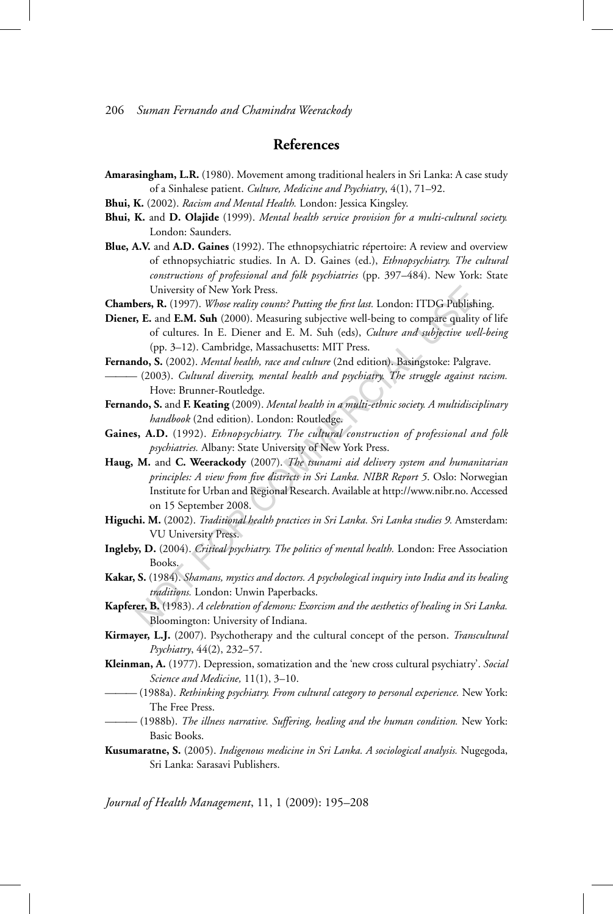## **References**

- **Amarasingham, L.R.** (1980). Movement among traditional healers in Sri Lanka: A case study of a Sinhalese patient. *Culture, Medicine and Psychiatry*, 4(1), 71–92.
- **Bhui, K.** (2002). *Racism and Mental Health.* London: Jessica Kingsley.
- **Bhui, K.** and **D. Olajide** (1999). *Mental health service provision for a multi-cultural society.* London: Saunders.
- **Blue, A.V.** and **A.D. Gaines** (1992). The ethnopsychiatric répertoire: A review and overview of ethnopsychiatric studies. In A. D. Gaines (ed.), *Ethnopsychiatry. The cultural constructions of professional and folk psychiatries* (pp. 397–484). New York: State University of New York Press.
- Chambers, R. (1997). *Whose reality counts? Putting the first last.* London: ITDG Publishing.
- **Diener, E.** and **E.M. Suh** (2000). Measuring subjective well-being to compare quality of life of cultures. In E. Diener and E. M. Suh (eds), *Culture and subjective well-being* (pp. 3–12). Cambridge, Massachusetts: MIT Press.
- **Fernando, S.** (2002). *Mental health, race and culture* (2nd edition). Basingstoke: Palgrave.
- ——— (2003). *Cultural diversity, mental health and psychiatry. The struggle against racism.* Hove: Brunner-Routledge.
- **Fernando, S.** and **F. Keating** (2009). *Mental health in a multi-ethnic society. A multidisciplinary handbook* (2nd edition). London: Routledge.
- **Gaines, A.D.** (1992). *Ethnopsychiatry. The cultural construction of professional and folk psychiatries.* Albany: State University of New York Press.
- University of New York Press.<br> **Shors, R.** (1997). *Whose reality counts? Putting the first last.* London: ITDG-Publish<br> **r. E.** ad E.M. Suh (2000). Measuring subjective well-being to compare quality<br>
of cultures. In E. Di **Haug, M.** and **C. Weerackody** (2007). *The tsunami aid delivery system and humanitarian principles: A view from five districts in Sri Lanka. NIBR Report 5. Oslo: Norwegian* Institute for Urban and Regional Research. Available at http://www.nibr.no. Accessed on 15 September 2008.
- **Higuchi. M.** (2002). *Traditional health practices in Sri Lanka. Sri Lanka studies 9.* Amsterdam: VU University Press.
- **Ingleby, D.** (2004). *Critical psychiatry. The politics of mental health.* London: Free Association Books.
- **Kakar, S.** (1984). *Shamans, mystics and doctors. A psychological inquiry into India and its healing traditions.* London: Unwin Paperbacks.
- **Kapferer, B.** (1983). *A celebration of demons: Exorcism and the aesthetics of healing in Sri Lanka.* Bloomington: University of Indiana.
- **Kirmayer, L.J.** (2007). Psychotherapy and the cultural concept of the person. *Transcultural Psychiatry*, 44(2), 232–57.
- **Kleinman, A.** (1977). Depression, somatization and the 'new cross cultural psychiatry'. *Social Science and Medicine,* 11(1), 3–10.
- ——— (1988a). *Rethinking psychiatry. From cultural category to personal experience.* New York: The Free Press.
- ——— (1988b). *The illness narrative. Suffering, healing and the human condition.* New York: Basic Books.
- **Kusumaratne, S.** (2005). *Indigenous medicine in Sri Lanka. A sociological analysis.* Nugegoda, Sri Lanka: Sarasavi Publishers.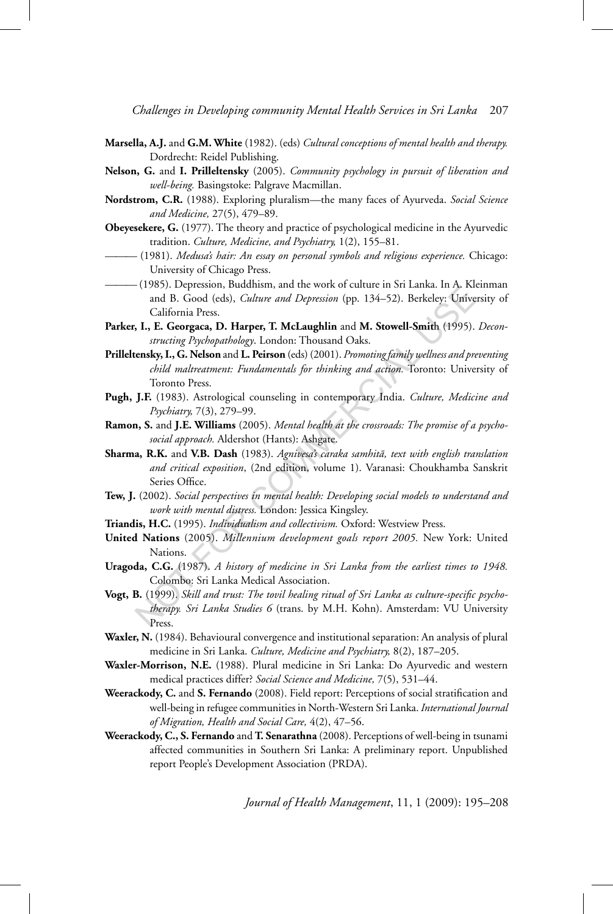- **Marsella, A.J.** and **G.M. White** (1982). (eds) *Cultural conceptions of mental health and therapy.* Dordrecht: Reidel Publishing.
- **Nelson, G.** and **I. Prilleltensky** (2005). *Community psychology in pursuit of liberation and well-being.* Basingstoke: Palgrave Macmillan.
- **Nordstrom, C.R.** (1988). Exploring pluralism—the many faces of Ayurveda. *Social Science and Medicine,* 27(5), 479–89.
- **Obeyesekere, G.** (1977). The theory and practice of psychological medicine in the Ayurvedic tradition. *Culture, Medicine, and Psychiatry,* 1(2), 155–81.
- ——— (1981). *Medusa's hair: An essay on personal symbols and religious experience.* Chicago: University of Chicago Press.
- ——— (1985). Depression, Buddhism, and the work of culture in Sri Lanka. In A. Kleinman and B. Good (eds), *Culture and Depression* (pp. 134–52). Berkeley: University of California Press.
- **Parker, I., E. Georgaca, D. Harper, T. McLaughlin** and **M. Stowell-Smit**h (1995). *Deconstructing Psychopathology*. London: Thousand Oaks.
- (1505). Depression, Dutatum and the work of culture in 1st 1achsa. if *n*, Kuelical del Color (els.), Culture and Depression (pp. 134–52). Berkeley: Univer<br>California Press.<br>**1., E. Georgaca, D. Harper, T. McLaughlin and Prilleltensky, I., G. Nelson** and **L. Peirson** (eds) (2001). *Promoting family wellness and preventing child maltreatment: Fundamentals for thinking and action.* Toronto: University of Toronto Press.
- **Pugh, J.F.** (1983). Astrological counseling in contemporary India. *Culture, Medicine and Psychiatry,* 7(3), 279–99.
- **Ramon, S.** and **J.E. Williams** (2005). *Mental health at the crossroads: The promise of a psychosocial approach.* Aldershot (Hants): Ashgate.
- **Sharma, R.K.** and **V.B. Dash** (1983). *Agnivesa's caraka samhitã, text with english translation and critical exposition*, (2nd edition, volume 1). Varanasi: Choukhamba Sanskrit Series Office.
- **Tew, J.** (2002). *Social perspectives in mental health: Developing social models to understand and work with mental distress.* London: Jessica Kingsley.
- **Triandis, H.C.** (1995). *Individualism and collectivism.* Oxford: Westview Press.
- **United Nations** (2005). *Millennium development goals report 2005.* New York: United Nations.
- **Uragoda, C.G.** (1987). *A history of medicine in Sri Lanka from the earliest times to 1948.* Colombo: Sri Lanka Medical Association.
- **Vogt, B.** (1999). Skill and trust: The tovil healing ritual of Sri Lanka as culture-specific psycho*therapy. Sri Lanka Studies 6* (trans. by M.H. Kohn). Amsterdam: VU University Press.
- **Waxler, N.** (1984). Behavioural convergence and institutional separation: An analysis of plural medicine in Sri Lanka. *Culture, Medicine and Psychiatry,* 8(2), 187–205.
- **Waxler-Morrison, N.E.** (1988). Plural medicine in Sri Lanka: Do Ayurvedic and western medical practices differ? *Social Science and Medicine,* 7(5), 531–44.
- Weerackody, C. and S. Fernando (2008). Field report: Perceptions of social stratification and well-being in refugee communities in North-Western Sri Lanka. *International Journal of Migration, Health and Social Care,* 4(2), 47–56.
- **Weerackody, C., S. Fernando** and **T. Senarathna** (2008). Perceptions of well-being in tsunami affected communities in Southern Sri Lanka: A preliminary report. Unpublished report People's Development Association (PRDA).